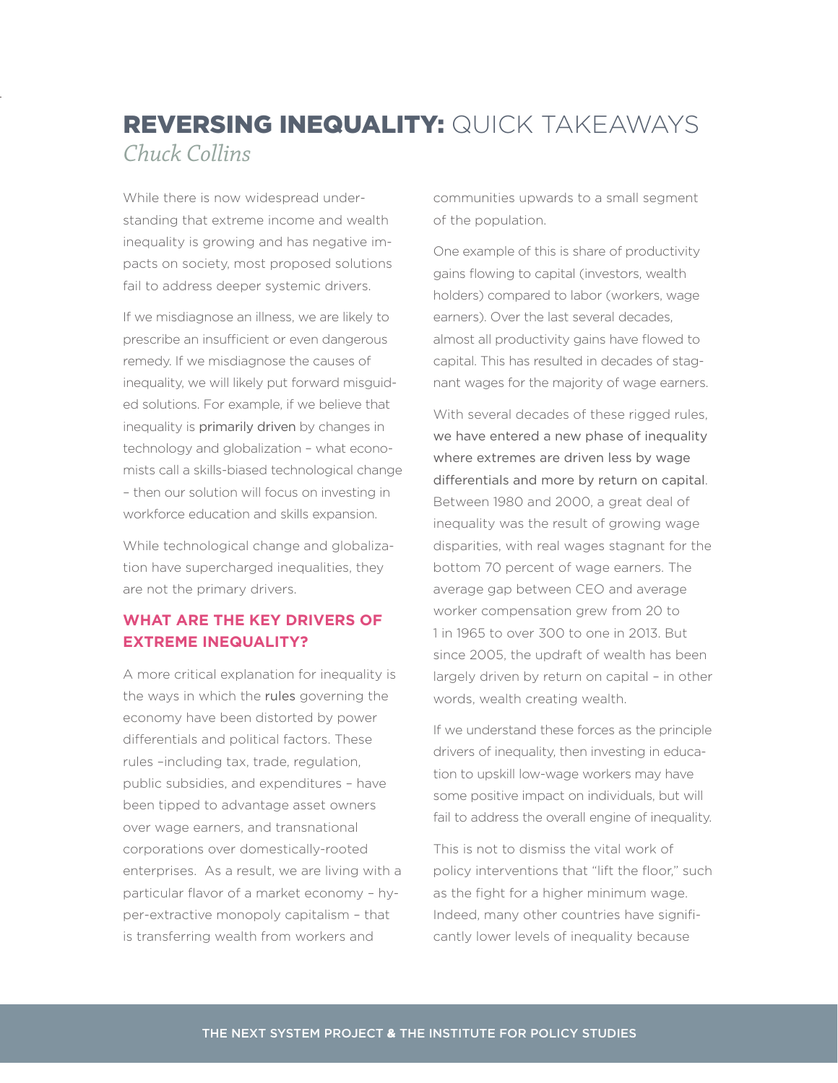## REVERSING INEQUALITY: QUICK TAKEAWAYS *Chuck Collins*

While there is now widespread understanding that extreme income and wealth inequality is growing and has negative impacts on society, most proposed solutions fail to address deeper systemic drivers.

If we misdiagnose an illness, we are likely to prescribe an insufficient or even dangerous remedy. If we misdiagnose the causes of inequality, we will likely put forward misguided solutions. For example, if we believe that inequality is primarily driven by changes in technology and globalization – what economists call a skills-biased technological change – then our solution will focus on investing in workforce education and skills expansion.

While technological change and globalization have supercharged inequalities, they are not the primary drivers.

## **WHAT ARE THE KEY DRIVERS OF EXTREME INEQUALITY?**

A more critical explanation for inequality is the ways in which the rules governing the economy have been distorted by power differentials and political factors. These rules –including tax, trade, regulation, public subsidies, and expenditures – have been tipped to advantage asset owners over wage earners, and transnational corporations over domestically-rooted enterprises. As a result, we are living with a particular flavor of a market economy – hyper-extractive monopoly capitalism – that is transferring wealth from workers and

communities upwards to a small segment of the population.

One example of this is share of productivity gains flowing to capital (investors, wealth holders) compared to labor (workers, wage earners). Over the last several decades, almost all productivity gains have flowed to capital. This has resulted in decades of stagnant wages for the majority of wage earners.

With several decades of these rigged rules, we have entered a new phase of inequality where extremes are driven less by wage differentials and more by return on capital. Between 1980 and 2000, a great deal of inequality was the result of growing wage disparities, with real wages stagnant for the bottom 70 percent of wage earners. The average gap between CEO and average worker compensation grew from 20 to 1 in 1965 to over 300 to one in 2013. But since 2005, the updraft of wealth has been largely driven by return on capital – in other words, wealth creating wealth.

If we understand these forces as the principle drivers of inequality, then investing in education to upskill low-wage workers may have some positive impact on individuals, but will fail to address the overall engine of inequality.

This is not to dismiss the vital work of policy interventions that "lift the floor," such as the fight for a higher minimum wage. Indeed, many other countries have significantly lower levels of inequality because